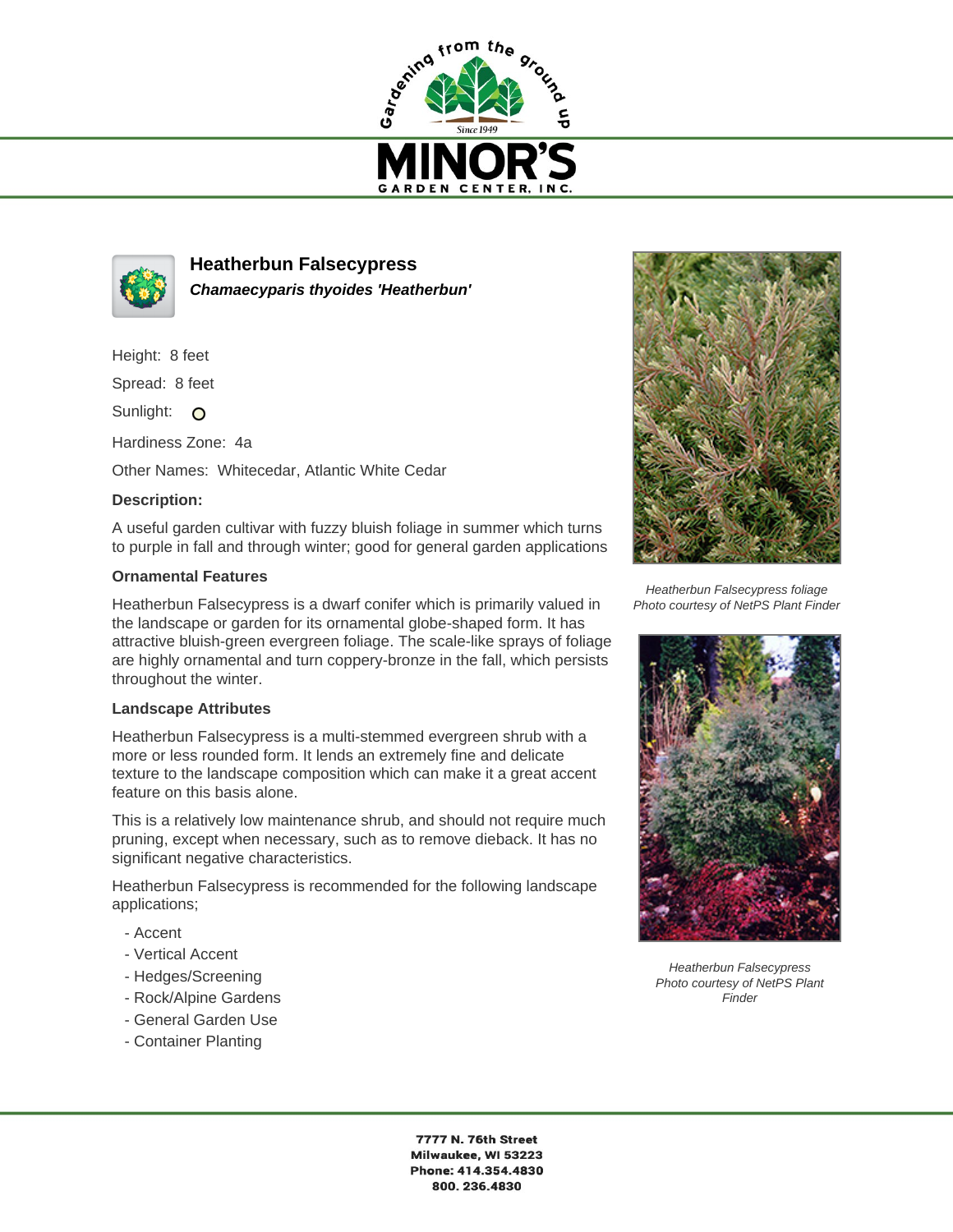



**Heatherbun Falsecypress Chamaecyparis thyoides 'Heatherbun'**

Height: 8 feet

Spread: 8 feet

Sunlight: O

Hardiness Zone: 4a

Other Names: Whitecedar, Atlantic White Cedar

## **Description:**

A useful garden cultivar with fuzzy bluish foliage in summer which turns to purple in fall and through winter; good for general garden applications

## **Ornamental Features**

Heatherbun Falsecypress is a dwarf conifer which is primarily valued in the landscape or garden for its ornamental globe-shaped form. It has attractive bluish-green evergreen foliage. The scale-like sprays of foliage are highly ornamental and turn coppery-bronze in the fall, which persists throughout the winter.

## **Landscape Attributes**

Heatherbun Falsecypress is a multi-stemmed evergreen shrub with a more or less rounded form. It lends an extremely fine and delicate texture to the landscape composition which can make it a great accent feature on this basis alone.

This is a relatively low maintenance shrub, and should not require much pruning, except when necessary, such as to remove dieback. It has no significant negative characteristics.

Heatherbun Falsecypress is recommended for the following landscape applications;

- Accent
- Vertical Accent
- Hedges/Screening
- Rock/Alpine Gardens
- General Garden Use
- Container Planting



Heatherbun Falsecypress foliage Photo courtesy of NetPS Plant Finder



Heatherbun Falsecypress Photo courtesy of NetPS Plant Finder